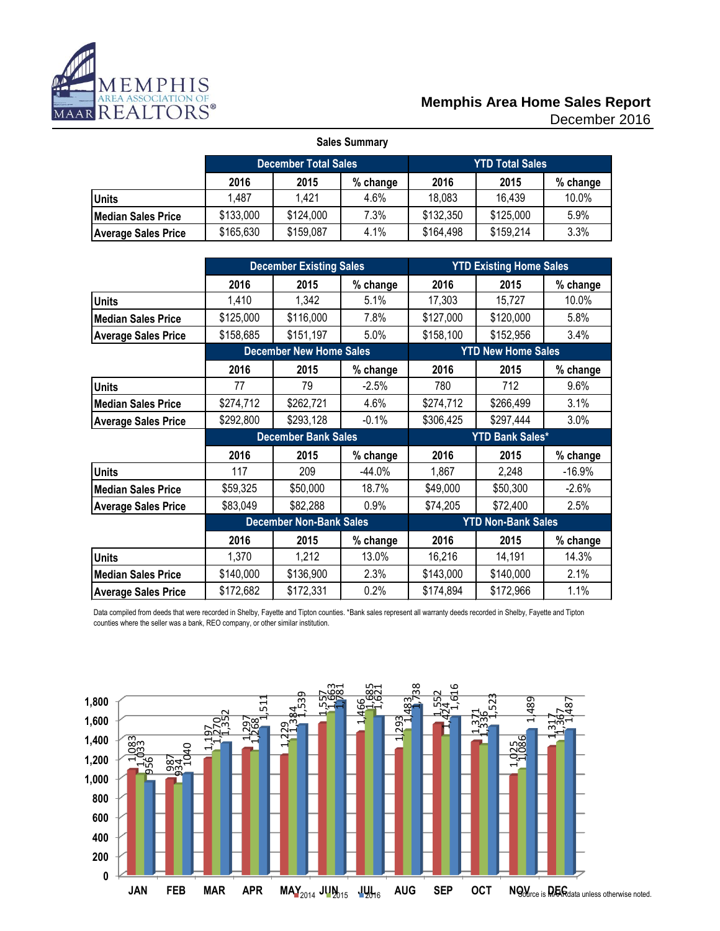

#### December 2016 **Memphis Area Home Sales Report**

| <b>Sales Summary</b>       |                                                       |           |      |           |           |       |  |  |  |  |  |
|----------------------------|-------------------------------------------------------|-----------|------|-----------|-----------|-------|--|--|--|--|--|
|                            | <b>YTD Total Sales</b><br><b>December Total Sales</b> |           |      |           |           |       |  |  |  |  |  |
|                            | 2016<br>2016<br>2015<br>2015<br>% change<br>% change  |           |      |           |           |       |  |  |  |  |  |
| <b>Units</b>               | 1,487                                                 | 1.421     | 4.6% | 18,083    | 16,439    | 10.0% |  |  |  |  |  |
| Median Sales Price         | \$133,000                                             | \$124,000 | 7.3% | \$132,350 | \$125,000 | 5.9%  |  |  |  |  |  |
| <b>Average Sales Price</b> | \$165,630                                             | \$159,087 | 4.1% | \$164,498 | \$159,214 | 3.3%  |  |  |  |  |  |

|                            |           | <b>December Existing Sales</b> |          |                           | <b>YTD Existing Home Sales</b> |          |
|----------------------------|-----------|--------------------------------|----------|---------------------------|--------------------------------|----------|
|                            | 2016      | 2015                           | % change | 2016                      | 2015                           | % change |
| <b>Units</b>               | 1,410     | 1,342                          | 5.1%     | 17,303                    | 15,727                         | 10.0%    |
| <b>Median Sales Price</b>  | \$125,000 | \$116,000                      | 7.8%     | \$127,000                 | \$120,000                      | 5.8%     |
| <b>Average Sales Price</b> | \$158,685 | \$151,197                      | 5.0%     | \$158,100                 | \$152,956                      | 3.4%     |
|                            |           | <b>December New Home Sales</b> |          |                           | <b>YTD New Home Sales</b>      |          |
|                            | 2016      | 2015                           | % change | 2016                      | 2015                           | % change |
| <b>Units</b>               | 77        | 79                             | $-2.5%$  | 780                       | 712                            | 9.6%     |
| <b>Median Sales Price</b>  | \$274,712 | \$262,721                      | 4.6%     | \$274,712                 | \$266,499                      | 3.1%     |
| <b>Average Sales Price</b> | \$292,800 | \$293,128                      | $-0.1%$  | \$306,425                 | \$297,444                      | 3.0%     |
|                            |           | <b>December Bank Sales</b>     |          |                           | <b>YTD Bank Sales*</b>         |          |
|                            | 2016      | 2015                           | % change | 2016                      | 2015                           | % change |
| <b>Units</b>               | 117       | 209                            | $-44.0%$ | 1,867                     | 2,248                          | $-16.9%$ |
| <b>Median Sales Price</b>  | \$59,325  | \$50,000                       | 18.7%    | \$49,000                  | \$50,300                       | $-2.6%$  |
| <b>Average Sales Price</b> | \$83,049  | \$82,288                       | 0.9%     | \$74,205                  | \$72,400                       | 2.5%     |
|                            |           | <b>December Non-Bank Sales</b> |          | <b>YTD Non-Bank Sales</b> |                                |          |
|                            | 2016      | 2015                           | % change | 2016                      | 2015                           | % change |
| <b>Units</b>               | 1,370     | 1,212                          | 13.0%    | 16,216                    | 14,191                         | 14.3%    |
| <b>Median Sales Price</b>  | \$140,000 | \$136,900                      | 2.3%     | \$143,000                 | \$140,000                      | 2.1%     |
| <b>Average Sales Price</b> | \$172,682 | \$172,331                      | 0.2%     | \$174,894                 | \$172,966                      | 1.1%     |

Data compiled from deeds that were recorded in Shelby, Fayette and Tipton counties. \*Bank sales represent all warranty deeds recorded in Shelby, Fayette and Tipton counties where the seller was a bank, REO company, or other similar institution.

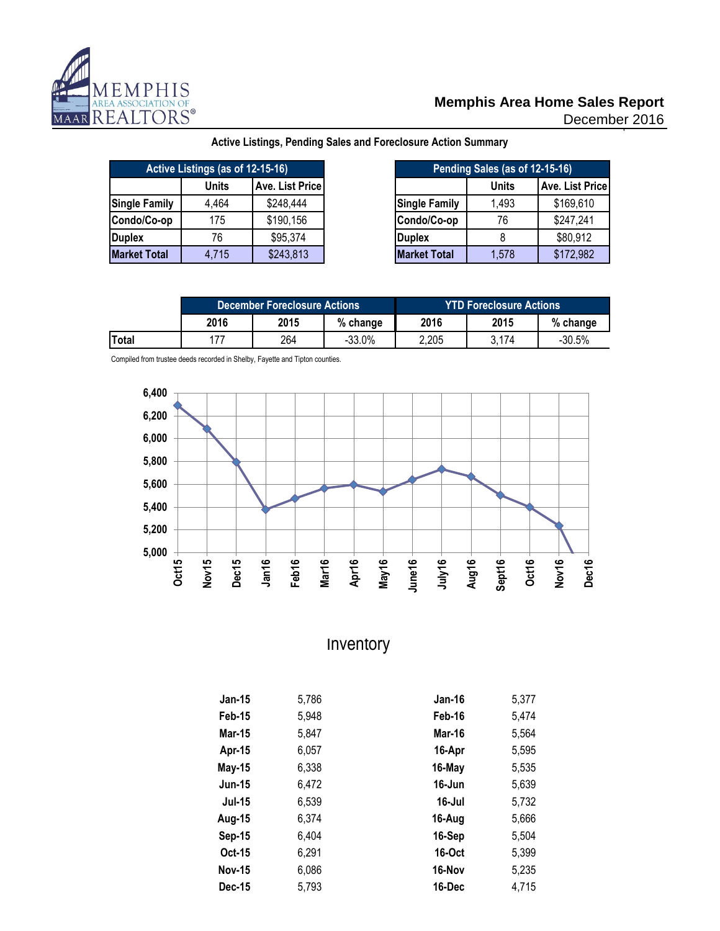

### **Memphis Area Home Sales Report**

December 2016

| Active Listings (as of 12-15-16) |       |                 |  |
|----------------------------------|-------|-----------------|--|
|                                  | Units | Ave. List Price |  |
| <b>Single Family</b>             | 4,464 | \$248,444       |  |
| Condo/Co-op                      | 175   | \$190,156       |  |
| <b>Duplex</b>                    | 76    | \$95,374        |  |
| <b>Market Total</b>              | 4,715 | \$243,813       |  |

**Active Listings, Pending Sales and Foreclosure Action Summary**

| gs (as of 12-15-16) |                 |                      | Pending Sales (as of 12-15-16) |                 |
|---------------------|-----------------|----------------------|--------------------------------|-----------------|
| Units               | Ave. List Price |                      | <b>Units</b>                   | Ave. List Price |
| 4,464               | \$248,444       | <b>Single Family</b> | 1,493                          | \$169,610       |
| 175                 | \$190,156       | Condo/Co-op          | 76                             | \$247,241       |
| 76                  | \$95,374        | <b>Duplex</b>        |                                | \$80,912        |
| 4,715               | \$243,813       | <b>Market Total</b>  | 1,578                          | \$172,982       |

|       |      | <b>December Foreclosure Actions</b> |           | 'YTD Foreclosure Actions <sub>'</sub> |       |          |  |
|-------|------|-------------------------------------|-----------|---------------------------------------|-------|----------|--|
|       | 2016 | 2015                                | % change  | 2016                                  | 2015  | % change |  |
| Total | 177  | 264                                 | $-33.0\%$ | 2,205                                 | 3.174 | $-30.5%$ |  |

Compiled from trustee deeds recorded in Shelby, Fayette and Tipton counties.



## Inventory

| <b>Jan-15</b> | 5,786 | Jan-16        | 5,377 |
|---------------|-------|---------------|-------|
| Feb-15        | 5,948 | Feb-16        | 5,474 |
| <b>Mar-15</b> | 5,847 | Mar-16        | 5,564 |
| Apr-15        | 6,057 | 16-Apr        | 5,595 |
| <b>May-15</b> | 6,338 | 16-May        | 5,535 |
| <b>Jun-15</b> | 6,472 | 16-Jun        | 5,639 |
| <b>Jul-15</b> | 6,539 | 16-Jul        | 5,732 |
| Aug-15        | 6.374 | 16-Aug        | 5,666 |
| <b>Sep-15</b> | 6,404 | 16-Sep        | 5,504 |
| Oct-15        | 6,291 | <b>16-Oct</b> | 5,399 |
| <b>Nov-15</b> | 6,086 | 16-Nov        | 5,235 |
| Dec-15        | 5,793 | 16-Dec        | 4.715 |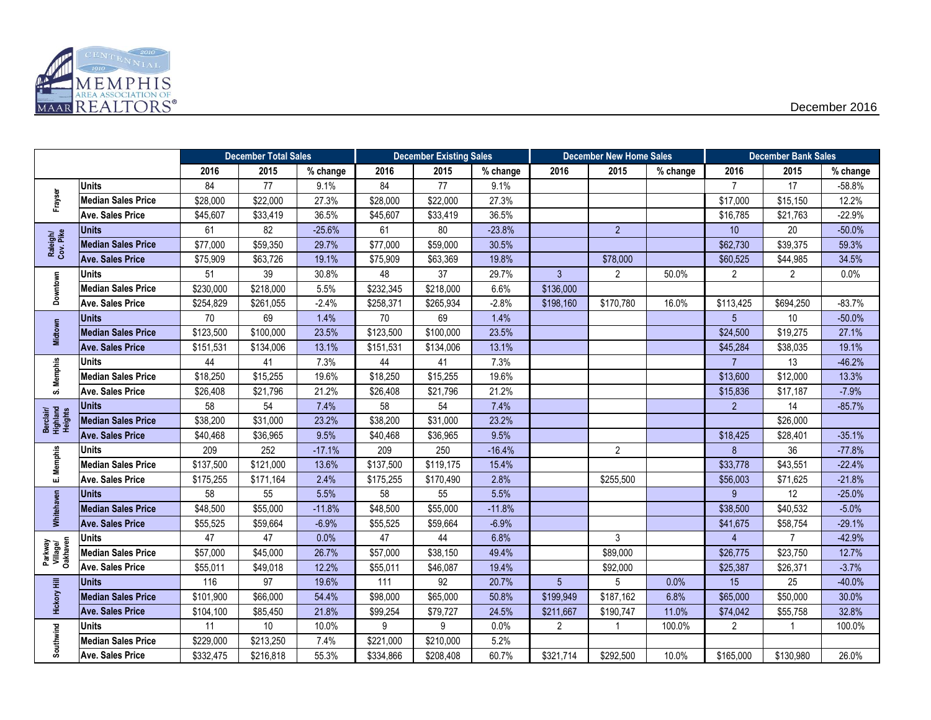

|                                  |                           |           | <b>December Total Sales</b> |          | <b>December Existing Sales</b> |           | <b>December New Home Sales</b> |                | <b>December Bank Sales</b> |          |                |                |          |
|----------------------------------|---------------------------|-----------|-----------------------------|----------|--------------------------------|-----------|--------------------------------|----------------|----------------------------|----------|----------------|----------------|----------|
|                                  |                           | 2016      | 2015                        | % change | 2016                           | 2015      | % change                       | 2016           | 2015                       | % change | 2016           | 2015           | % change |
|                                  | <b>Units</b>              | 84        | 77                          | 9.1%     | 84                             | 77        | 9.1%                           |                |                            |          | $\overline{7}$ | 17             | $-58.8%$ |
| Frayser                          | <b>Median Sales Price</b> | \$28,000  | \$22,000                    | 27.3%    | \$28,000                       | \$22,000  | 27.3%                          |                |                            |          | \$17,000       | \$15,150       | 12.2%    |
|                                  | <b>Ave. Sales Price</b>   | \$45,607  | \$33,419                    | 36.5%    | \$45,607                       | \$33,419  | 36.5%                          |                |                            |          | \$16,785       | \$21,763       | $-22.9%$ |
|                                  | <b>Units</b>              | 61        | 82                          | $-25.6%$ | 61                             | 80        | $-23.8%$                       |                | $\overline{2}$             |          | 10             | 20             | $-50.0%$ |
| Raleigh/<br>Cov. Pike            | <b>Median Sales Price</b> | \$77,000  | \$59,350                    | 29.7%    | \$77,000                       | \$59,000  | 30.5%                          |                |                            |          | \$62,730       | \$39,375       | 59.3%    |
|                                  | <b>Ave. Sales Price</b>   | \$75,909  | \$63,726                    | 19.1%    | \$75,909                       | \$63,369  | 19.8%                          |                | \$78,000                   |          | \$60,525       | \$44,985       | 34.5%    |
|                                  | Units                     | 51        | 39                          | 30.8%    | 48                             | 37        | 29.7%                          | $\mathbf{3}$   | $\overline{2}$             | 50.0%    | $\overline{2}$ | $\overline{2}$ | 0.0%     |
| Downtown                         | <b>Median Sales Price</b> | \$230,000 | \$218,000                   | 5.5%     | \$232,345                      | \$218,000 | 6.6%                           | \$136,000      |                            |          |                |                |          |
|                                  | <b>Ave. Sales Price</b>   | \$254,829 | \$261,055                   | $-2.4%$  | \$258,371                      | \$265,934 | $-2.8%$                        | \$198,160      | \$170,780                  | 16.0%    | \$113,425      | \$694,250      | $-83.7%$ |
|                                  | Units                     | 70        | 69                          | 1.4%     | 70                             | 69        | 1.4%                           |                |                            |          | 5 <sup>5</sup> | 10             | $-50.0%$ |
| Midtown                          | <b>Median Sales Price</b> | \$123,500 | \$100,000                   | 23.5%    | \$123,500                      | \$100,000 | 23.5%                          |                |                            |          | \$24,500       | \$19,275       | 27.1%    |
|                                  | <b>Ave. Sales Price</b>   | \$151,531 | \$134,006                   | 13.1%    | \$151,531                      | \$134,006 | 13.1%                          |                |                            |          | \$45,284       | \$38,035       | 19.1%    |
|                                  | <b>Units</b>              | 44        | 41                          | 7.3%     | 44                             | 41        | 7.3%                           |                |                            |          | 7 <sup>1</sup> | 13             | $-46.2%$ |
| S. Memphis                       | <b>Median Sales Price</b> | \$18,250  | \$15,255                    | 19.6%    | \$18,250                       | \$15,255  | 19.6%                          |                |                            |          | \$13,600       | \$12,000       | 13.3%    |
|                                  | <b>Ave. Sales Price</b>   | \$26,408  | \$21,796                    | 21.2%    | \$26,408                       | \$21,796  | 21.2%                          |                |                            |          | \$15,836       | \$17,187       | $-7.9%$  |
|                                  | <b>Units</b>              | 58        | 54                          | 7.4%     | 58                             | 54        | 7.4%                           |                |                            |          | $\overline{2}$ | 14             | $-85.7%$ |
| Berclair/<br>Highland<br>Heights | <b>Median Sales Price</b> | \$38,200  | \$31,000                    | 23.2%    | \$38,200                       | \$31,000  | 23.2%                          |                |                            |          |                | \$26,000       |          |
|                                  | <b>Ave. Sales Price</b>   | \$40,468  | \$36,965                    | 9.5%     | \$40,468                       | \$36,965  | 9.5%                           |                |                            |          | \$18,425       | \$28,401       | $-35.1%$ |
|                                  | <b>Units</b>              | 209       | 252                         | $-17.1%$ | 209                            | 250       | $-16.4%$                       |                | $\overline{2}$             |          | 8              | 36             | $-77.8%$ |
| E. Memphis                       | <b>Median Sales Price</b> | \$137,500 | \$121,000                   | 13.6%    | \$137,500                      | \$119,175 | 15.4%                          |                |                            |          | \$33,778       | \$43,551       | $-22.4%$ |
|                                  | Ave. Sales Price          | \$175,255 | \$171,164                   | 2.4%     | \$175,255                      | \$170,490 | 2.8%                           |                | \$255,500                  |          | \$56,003       | \$71,625       | $-21.8%$ |
|                                  | <b>Units</b>              | 58        | 55                          | 5.5%     | 58                             | 55        | 5.5%                           |                |                            |          | 9              | 12             | $-25.0%$ |
| Whitehaven                       | <b>Median Sales Price</b> | \$48,500  | \$55,000                    | $-11.8%$ | \$48,500                       | \$55,000  | $-11.8%$                       |                |                            |          | \$38,500       | \$40,532       | $-5.0%$  |
|                                  | <b>Ave. Sales Price</b>   | \$55,525  | \$59,664                    | $-6.9%$  | \$55,525                       | \$59,664  | $-6.9%$                        |                |                            |          | \$41,675       | \$58,754       | $-29.1%$ |
|                                  | Units                     | 47        | 47                          | 0.0%     | 47                             | 44        | 6.8%                           |                | 3                          |          | 4              | $\overline{7}$ | $-42.9%$ |
| Parkway<br>Village/<br>Oakhaven  | <b>Median Sales Price</b> | \$57,000  | \$45,000                    | 26.7%    | \$57,000                       | \$38,150  | 49.4%                          |                | \$89,000                   |          | \$26,775       | \$23,750       | 12.7%    |
|                                  | Ave. Sales Price          | \$55,011  | \$49,018                    | 12.2%    | \$55,011                       | \$46,087  | 19.4%                          |                | \$92,000                   |          | \$25,387       | \$26,371       | $-3.7%$  |
|                                  | <b>Units</b>              | 116       | 97                          | 19.6%    | 111                            | 92        | 20.7%                          | 5 <sup>5</sup> | 5                          | 0.0%     | 15             | 25             | $-40.0%$ |
| <b>Hickory Hill</b>              | <b>Median Sales Price</b> | \$101,900 | \$66,000                    | 54.4%    | \$98,000                       | \$65,000  | 50.8%                          | \$199,949      | \$187,162                  | 6.8%     | \$65,000       | \$50,000       | 30.0%    |
|                                  | <b>Ave. Sales Price</b>   | \$104,100 | \$85,450                    | 21.8%    | \$99,254                       | \$79,727  | 24.5%                          | \$211,667      | \$190,747                  | 11.0%    | \$74,042       | \$55,758       | 32.8%    |
|                                  | <b>Units</b>              | 11        | $10$                        | 10.0%    | 9                              | 9         | 0.0%                           | $\overline{2}$ | 1                          | 100.0%   | $\overline{2}$ | 1              | 100.0%   |
| Southwind                        | <b>Median Sales Price</b> | \$229,000 | \$213,250                   | 7.4%     | \$221,000                      | \$210,000 | 5.2%                           |                |                            |          |                |                |          |
|                                  | <b>Ave. Sales Price</b>   | \$332,475 | \$216,818                   | 55.3%    | \$334,866                      | \$208,408 | 60.7%                          | \$321,714      | \$292,500                  | 10.0%    | \$165,000      | \$130,980      | 26.0%    |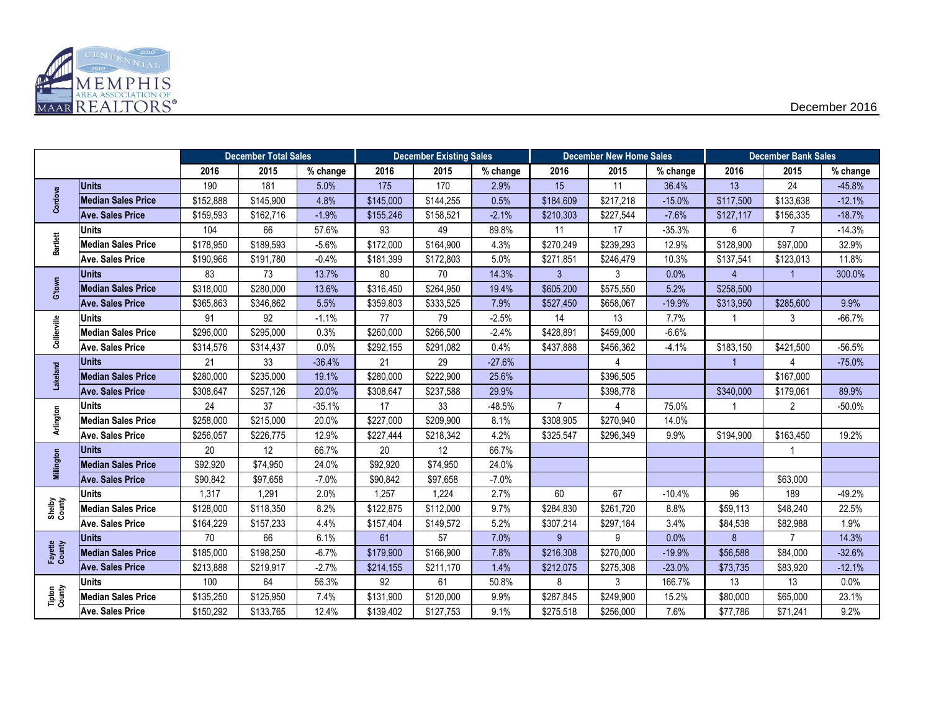

|                   |                           |           | <b>December Total Sales</b> |          | <b>December Existing Sales</b> |           | <b>December New Home Sales</b> |                |           | <b>December Bank Sales</b> |                |                |            |
|-------------------|---------------------------|-----------|-----------------------------|----------|--------------------------------|-----------|--------------------------------|----------------|-----------|----------------------------|----------------|----------------|------------|
|                   |                           | 2016      | 2015                        | % change | 2016                           | 2015      | % change                       | 2016           | 2015      | % change                   | 2016           | 2015           | $%$ change |
|                   | <b>Units</b>              | 190       | 181                         | 5.0%     | 175                            | 170       | 2.9%                           | 15             | 11        | 36.4%                      | 13             | 24             | $-45.8%$   |
| Cordova           | <b>Median Sales Price</b> | \$152,888 | \$145,900                   | 4.8%     | \$145,000                      | \$144,255 | 0.5%                           | \$184,609      | \$217,218 | $-15.0%$                   | \$117,500      | \$133,638      | $-12.1%$   |
|                   | <b>Ave. Sales Price</b>   | \$159,593 | \$162,716                   | $-1.9%$  | \$155,246                      | \$158,521 | $-2.1%$                        | \$210,303      | \$227,544 | $-7.6%$                    | \$127,117      | \$156,335      | $-18.7%$   |
|                   | <b>Units</b>              | 104       | 66                          | 57.6%    | 93                             | 49        | 89.8%                          | 11             | 17        | $-35.3%$                   | 6              | $\overline{7}$ | $-14.3%$   |
| <b>Bartlett</b>   | <b>Median Sales Price</b> | \$178,950 | \$189,593                   | $-5.6%$  | \$172,000                      | \$164,900 | 4.3%                           | \$270,249      | \$239,293 | 12.9%                      | \$128,900      | \$97,000       | 32.9%      |
|                   | <b>Ave. Sales Price</b>   | \$190,966 | \$191,780                   | $-0.4%$  | \$181,399                      | \$172,803 | 5.0%                           | \$271,851      | \$246,479 | 10.3%                      | \$137,541      | \$123,013      | 11.8%      |
|                   | <b>Units</b>              | 83        | 73                          | 13.7%    | 80                             | 70        | 14.3%                          | $\mathbf{3}$   | 3         | 0.0%                       | $\overline{4}$ |                | 300.0%     |
| G'town            | <b>Median Sales Price</b> | \$318,000 | \$280,000                   | 13.6%    | \$316,450                      | \$264,950 | 19.4%                          | \$605,200      | \$575,550 | 5.2%                       | \$258,500      |                |            |
|                   | <b>Ave. Sales Price</b>   | \$365,863 | \$346,862                   | 5.5%     | \$359,803                      | \$333,525 | 7.9%                           | \$527,450      | \$658,067 | $-19.9%$                   | \$313,950      | \$285,600      | 9.9%       |
|                   | <b>Units</b>              | 91        | 92                          | $-1.1%$  | 77                             | 79        | $-2.5%$                        | 14             | 13        | 7.7%                       |                | 3              | $-66.7%$   |
| Collierville      | <b>Median Sales Price</b> | \$296,000 | \$295,000                   | 0.3%     | \$260,000                      | \$266,500 | $-2.4%$                        | \$428,891      | \$459,000 | $-6.6%$                    |                |                |            |
|                   | <b>Ave. Sales Price</b>   | \$314,576 | \$314,437                   | 0.0%     | \$292,155                      | \$291,082 | 0.4%                           | \$437,888      | \$456,362 | $-4.1%$                    | \$183,150      | \$421,500      | $-56.5%$   |
|                   | <b>Units</b>              | 21        | 33                          | $-36.4%$ | 21                             | 29        | $-27.6%$                       |                | 4         |                            |                | 4              | $-75.0%$   |
| Lakeland          | <b>Median Sales Price</b> | \$280,000 | \$235,000                   | 19.1%    | \$280,000                      | \$222,900 | 25.6%                          |                | \$396,505 |                            |                | \$167,000      |            |
|                   | <b>Ave. Sales Price</b>   | \$308,647 | \$257,126                   | 20.0%    | \$308,647                      | \$237,588 | 29.9%                          |                | \$398,778 |                            | \$340,000      | \$179,061      | 89.9%      |
|                   | <b>Units</b>              | 24        | 37                          | $-35.1%$ | 17                             | 33        | $-48.5%$                       | $\overline{7}$ | 4         | 75.0%                      |                | $\overline{2}$ | $-50.0%$   |
| Arlington         | <b>Median Sales Price</b> | \$258,000 | \$215,000                   | 20.0%    | \$227,000                      | \$209,900 | 8.1%                           | \$308,905      | \$270,940 | 14.0%                      |                |                |            |
|                   | <b>Ave. Sales Price</b>   | \$256,057 | \$226,775                   | 12.9%    | \$227,444                      | \$218,342 | 4.2%                           | \$325,547      | \$296,349 | 9.9%                       | \$194,900      | \$163,450      | 19.2%      |
|                   | <b>Units</b>              | 20        | 12                          | 66.7%    | $20\,$                         | 12        | 66.7%                          |                |           |                            |                |                |            |
| Millington        | <b>Median Sales Price</b> | \$92,920  | \$74,950                    | 24.0%    | \$92,920                       | \$74,950  | 24.0%                          |                |           |                            |                |                |            |
|                   | <b>Ave. Sales Price</b>   | \$90,842  | \$97,658                    | $-7.0%$  | \$90,842                       | \$97,658  | $-7.0%$                        |                |           |                            |                | \$63,000       |            |
|                   | <b>Units</b>              | 1,317     | 1,291                       | 2.0%     | 1,257                          | 1,224     | 2.7%                           | 60             | 67        | $-10.4%$                   | 96             | 189            | $-49.2%$   |
| Shelby<br>County  | <b>Median Sales Price</b> | \$128,000 | \$118,350                   | 8.2%     | \$122,875                      | \$112,000 | 9.7%                           | \$284,830      | \$261,720 | 8.8%                       | \$59,113       | \$48,240       | 22.5%      |
|                   | <b>Ave. Sales Price</b>   | \$164,229 | \$157,233                   | 4.4%     | \$157,404                      | \$149,572 | 5.2%                           | \$307,214      | \$297,184 | 3.4%                       | \$84,538       | \$82,988       | 1.9%       |
|                   | <b>Units</b>              | 70        | 66                          | 6.1%     | 61                             | 57        | 7.0%                           | 9              | 9         | 0.0%                       | 8              | $\overline{7}$ | 14.3%      |
| Fayette<br>County | Median Sales Price        | \$185,000 | \$198,250                   | $-6.7%$  | \$179,900                      | \$166,900 | 7.8%                           | \$216,308      | \$270,000 | $-19.9%$                   | \$56,588       | \$84,000       | $-32.6%$   |
|                   | <b>Ave. Sales Price</b>   | \$213,888 | \$219,917                   | $-2.7%$  | \$214,155                      | \$211,170 | 1.4%                           | \$212,075      | \$275,308 | $-23.0%$                   | \$73,735       | \$83,920       | $-12.1%$   |
|                   | <b>Units</b>              | 100       | 64                          | 56.3%    | 92                             | 61        | 50.8%                          | 8              | 3         | 166.7%                     | 13             | 13             | 0.0%       |
| Tipton<br>County  | <b>Median Sales Price</b> | \$135,250 | \$125,950                   | 7.4%     | \$131,900                      | \$120,000 | 9.9%                           | \$287,845      | \$249,900 | 15.2%                      | \$80,000       | \$65,000       | 23.1%      |
|                   | <b>Ave. Sales Price</b>   | \$150,292 | \$133,765                   | 12.4%    | \$139,402                      | \$127,753 | 9.1%                           | \$275,518      | \$256,000 | 7.6%                       | \$77,786       | \$71,241       | 9.2%       |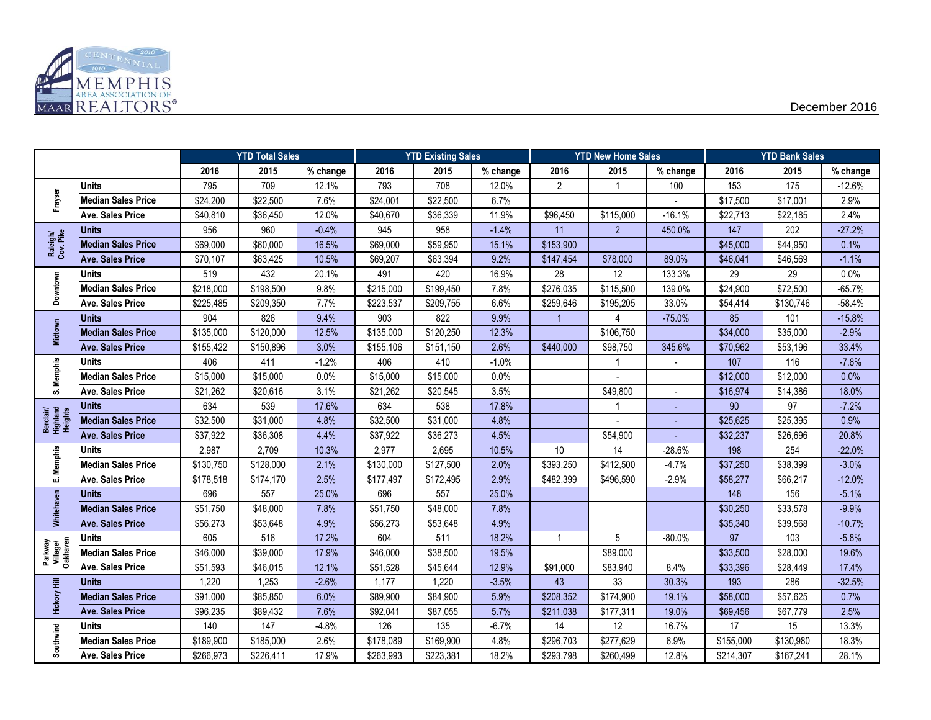

|                                  |                           |           | <b>YTD Total Sales</b> |          |           | <b>YTD Existing Sales</b> |          |                | <b>YTD New Home Sales</b> |          |           | <b>YTD Bank Sales</b> |          |
|----------------------------------|---------------------------|-----------|------------------------|----------|-----------|---------------------------|----------|----------------|---------------------------|----------|-----------|-----------------------|----------|
|                                  |                           | 2016      | 2015                   | % change | 2016      | 2015                      | % change | 2016           | 2015                      | % change | 2016      | 2015                  | % change |
|                                  | <b>Units</b>              | 795       | 709                    | 12.1%    | 793       | 708                       | 12.0%    | $\overline{2}$ | $\mathbf{1}$              | 100      | 153       | 175                   | $-12.6%$ |
| Frayser                          | <b>Median Sales Price</b> | \$24,200  | \$22,500               | 7.6%     | \$24,001  | \$22,500                  | 6.7%     |                |                           |          | \$17,500  | \$17,001              | 2.9%     |
|                                  | <b>Ave. Sales Price</b>   | \$40,810  | \$36,450               | 12.0%    | \$40,670  | \$36,339                  | 11.9%    | \$96,450       | \$115,000                 | $-16.1%$ | \$22,713  | \$22,185              | 2.4%     |
|                                  | <b>Units</b>              | 956       | 960                    | $-0.4%$  | 945       | 958                       | $-1.4%$  | 11             | $\overline{2}$            | 450.0%   | 147       | 202                   | $-27.2%$ |
| Raleigh/<br>Cov. Pike            | <b>Median Sales Price</b> | \$69,000  | \$60,000               | 16.5%    | \$69,000  | \$59,950                  | 15.1%    | \$153,900      |                           |          | \$45,000  | \$44,950              | 0.1%     |
|                                  | <b>Ave. Sales Price</b>   | \$70,107  | \$63,425               | 10.5%    | \$69,207  | \$63,394                  | 9.2%     | \$147,454      | \$78,000                  | 89.0%    | \$46,041  | \$46,569              | $-1.1%$  |
|                                  | Units                     | 519       | 432                    | 20.1%    | 491       | 420                       | 16.9%    | 28             | 12                        | 133.3%   | 29        | 29                    | 0.0%     |
| Downtown                         | <b>Median Sales Price</b> | \$218,000 | \$198,500              | 9.8%     | \$215,000 | \$199,450                 | 7.8%     | \$276,035      | \$115,500                 | 139.0%   | \$24,900  | \$72,500              | $-65.7%$ |
|                                  | <b>Ave. Sales Price</b>   | \$225,485 | \$209,350              | 7.7%     | \$223,537 | \$209,755                 | 6.6%     | \$259,646      | \$195,205                 | 33.0%    | \$54,414  | \$130,746             | $-58.4%$ |
|                                  | <b>Units</b>              | 904       | 826                    | 9.4%     | 903       | 822                       | 9.9%     | $\overline{1}$ | 4                         | $-75.0%$ | 85        | 101                   | $-15.8%$ |
| Midtown                          | <b>Median Sales Price</b> | \$135,000 | \$120,000              | 12.5%    | \$135,000 | \$120,250                 | 12.3%    |                | \$106,750                 |          | \$34,000  | \$35,000              | $-2.9%$  |
|                                  | <b>Ave. Sales Price</b>   | \$155,422 | \$150,896              | 3.0%     | \$155,106 | \$151,150                 | 2.6%     | \$440,000      | \$98,750                  | 345.6%   | \$70,962  | \$53,196              | 33.4%    |
|                                  | <b>Units</b>              | 406       | 411                    | $-1.2%$  | 406       | 410                       | $-1.0%$  |                | $\overline{1}$            |          | 107       | 116                   | $-7.8%$  |
| S. Memphis                       | <b>Median Sales Price</b> | \$15,000  | \$15,000               | 0.0%     | \$15,000  | \$15,000                  | 0.0%     |                |                           |          | \$12,000  | \$12,000              | 0.0%     |
|                                  | <b>Ave. Sales Price</b>   | \$21,262  | \$20,616               | 3.1%     | \$21,262  | \$20,545                  | 3.5%     |                | \$49,800                  |          | \$16,974  | \$14,386              | 18.0%    |
|                                  | <b>Units</b>              | 634       | 539                    | 17.6%    | 634       | 538                       | 17.8%    |                | $\mathbf 1$               |          | 90        | 97                    | $-7.2%$  |
| Berclair/<br>Highland<br>Heights | <b>Median Sales Price</b> | \$32,500  | \$31,000               | 4.8%     | \$32,500  | \$31,000                  | 4.8%     |                |                           |          | \$25,625  | \$25,395              | 0.9%     |
|                                  | <b>Ave. Sales Price</b>   | \$37,922  | \$36,308               | 4.4%     | \$37,922  | \$36,273                  | 4.5%     |                | \$54,900                  |          | \$32,237  | \$26,696              | 20.8%    |
|                                  | <b>Units</b>              | 2,987     | 2,709                  | 10.3%    | 2,977     | 2,695                     | 10.5%    | 10             | 14                        | $-28.6%$ | 198       | 254                   | $-22.0%$ |
| E. Memphis                       | <b>Median Sales Price</b> | \$130,750 | \$128,000              | 2.1%     | \$130,000 | \$127,500                 | 2.0%     | \$393,250      | \$412,500                 | $-4.7%$  | \$37,250  | \$38,399              | $-3.0%$  |
|                                  | <b>Ave. Sales Price</b>   | \$178,518 | \$174,170              | 2.5%     | \$177,497 | \$172,495                 | 2.9%     | \$482,399      | \$496,590                 | $-2.9%$  | \$58,277  | \$66,217              | $-12.0%$ |
|                                  | <b>Units</b>              | 696       | 557                    | 25.0%    | 696       | 557                       | 25.0%    |                |                           |          | 148       | 156                   | $-5.1%$  |
| Whitehaven                       | <b>Median Sales Price</b> | \$51,750  | \$48,000               | 7.8%     | \$51,750  | \$48,000                  | 7.8%     |                |                           |          | \$30,250  | \$33,578              | $-9.9%$  |
|                                  | <b>Ave. Sales Price</b>   | \$56,273  | \$53,648               | 4.9%     | \$56,273  | \$53,648                  | 4.9%     |                |                           |          | \$35,340  | \$39,568              | $-10.7%$ |
|                                  | <b>Units</b>              | 605       | 516                    | 17.2%    | 604       | 511                       | 18.2%    | 1              | 5                         | $-80.0%$ | 97        | 103                   | $-5.8%$  |
| Parkway<br>Village/<br>Oakhaven  | <b>Median Sales Price</b> | \$46,000  | \$39,000               | 17.9%    | \$46,000  | \$38,500                  | 19.5%    |                | \$89,000                  |          | \$33,500  | \$28,000              | 19.6%    |
|                                  | <b>Ave. Sales Price</b>   | \$51,593  | \$46,015               | 12.1%    | \$51,528  | \$45,644                  | 12.9%    | \$91,000       | \$83,940                  | 8.4%     | \$33,396  | \$28,449              | 17.4%    |
|                                  | <b>Units</b>              | 1,220     | 1,253                  | $-2.6%$  | 1,177     | 1,220                     | $-3.5%$  | 43             | 33                        | 30.3%    | 193       | 286                   | $-32.5%$ |
| <b>Hickory Hill</b>              | <b>Median Sales Price</b> | \$91,000  | \$85,850               | 6.0%     | \$89,900  | \$84,900                  | 5.9%     | \$208,352      | \$174,900                 | 19.1%    | \$58,000  | \$57,625              | 0.7%     |
|                                  | <b>Ave. Sales Price</b>   | \$96,235  | \$89,432               | 7.6%     | \$92,041  | \$87,055                  | 5.7%     | \$211,038      | \$177,311                 | 19.0%    | \$69,456  | \$67,779              | 2.5%     |
|                                  | <b>Units</b>              | 140       | 147                    | $-4.8%$  | 126       | 135                       | $-6.7%$  | 14             | 12                        | 16.7%    | 17        | 15                    | 13.3%    |
| Southwind                        | <b>Median Sales Price</b> | \$189,900 | \$185,000              | 2.6%     | \$178,089 | \$169,900                 | 4.8%     | \$296,703      | \$277,629                 | 6.9%     | \$155,000 | \$130,980             | 18.3%    |
|                                  | <b>Ave. Sales Price</b>   | \$266,973 | \$226,411              | 17.9%    | \$263,993 | \$223,381                 | 18.2%    | \$293,798      | \$260,499                 | 12.8%    | \$214,307 | \$167,241             | 28.1%    |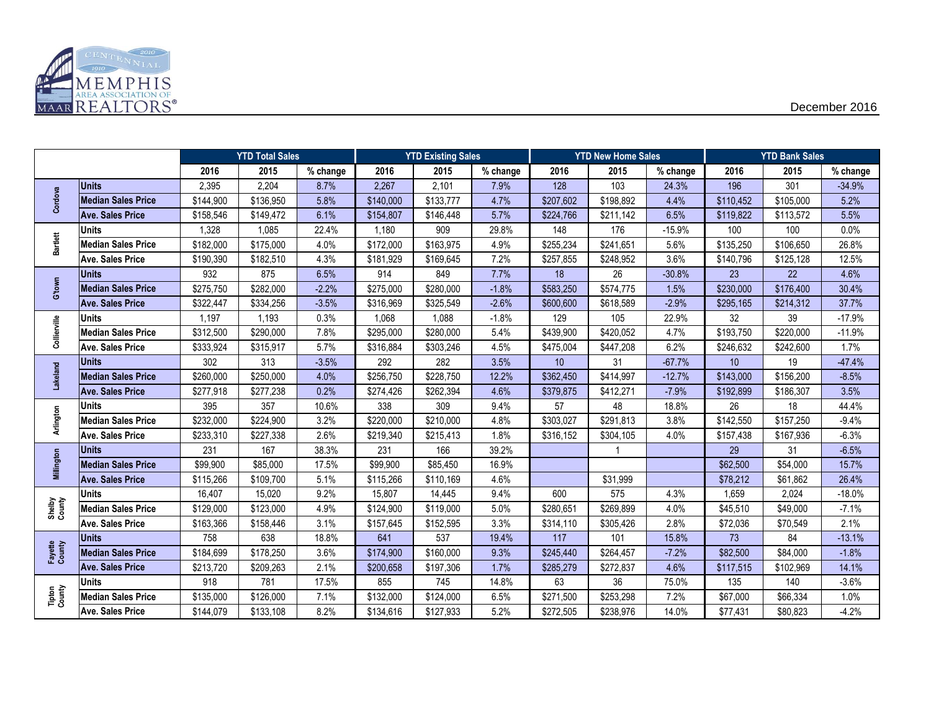

|                   |                           |           | <b>YTD Total Sales</b> |          | <b>YTD Existing Sales</b> |           | <b>YTD New Home Sales</b> |           |           | <b>YTD Bank Sales</b> |           |           |          |
|-------------------|---------------------------|-----------|------------------------|----------|---------------------------|-----------|---------------------------|-----------|-----------|-----------------------|-----------|-----------|----------|
|                   |                           | 2016      | 2015                   | % change | 2016                      | 2015      | % change                  | 2016      | 2015      | % change              | 2016      | 2015      | % change |
|                   | <b>Units</b>              | 2,395     | 2,204                  | 8.7%     | 2,267                     | 2,101     | 7.9%                      | 128       | 103       | 24.3%                 | 196       | 301       | $-34.9%$ |
| Cordova           | <b>Median Sales Price</b> | \$144,900 | \$136,950              | 5.8%     | \$140,000                 | \$133,777 | 4.7%                      | \$207,602 | \$198,892 | 4.4%                  | \$110,452 | \$105,000 | 5.2%     |
|                   | Ave. Sales Price          | \$158,546 | \$149,472              | 6.1%     | \$154,807                 | \$146,448 | 5.7%                      | \$224,766 | \$211,142 | 6.5%                  | \$119,822 | \$113,572 | 5.5%     |
|                   | <b>Units</b>              | 1,328     | 1,085                  | 22.4%    | 1,180                     | 909       | 29.8%                     | 148       | 176       | $-15.9%$              | 100       | 100       | 0.0%     |
| <b>Bartlett</b>   | <b>Median Sales Price</b> | \$182,000 | \$175,000              | 4.0%     | \$172,000                 | \$163,975 | 4.9%                      | \$255,234 | \$241,651 | 5.6%                  | \$135,250 | \$106,650 | 26.8%    |
|                   | <b>Ave. Sales Price</b>   | \$190,390 | \$182,510              | 4.3%     | \$181,929                 | \$169,645 | 7.2%                      | \$257,855 | \$248,952 | 3.6%                  | \$140,796 | \$125,128 | 12.5%    |
|                   | <b>Units</b>              | 932       | 875                    | 6.5%     | 914                       | 849       | 7.7%                      | 18        | 26        | $-30.8%$              | 23        | 22        | 4.6%     |
| G'town            | <b>Median Sales Price</b> | \$275,750 | \$282,000              | $-2.2%$  | \$275,000                 | \$280,000 | $-1.8%$                   | \$583,250 | \$574,775 | 1.5%                  | \$230,000 | \$176,400 | 30.4%    |
|                   | <b>Ave. Sales Price</b>   | \$322,447 | \$334,256              | $-3.5%$  | \$316,969                 | \$325,549 | $-2.6%$                   | \$600,600 | \$618,589 | $-2.9%$               | \$295,165 | \$214,312 | 37.7%    |
|                   | <b>Units</b>              | 1,197     | 1,193                  | 0.3%     | 1,068                     | 1,088     | $-1.8%$                   | 129       | 105       | 22.9%                 | 32        | 39        | $-17.9%$ |
| Collierville      | <b>Median Sales Price</b> | \$312,500 | \$290,000              | 7.8%     | \$295,000                 | \$280,000 | 5.4%                      | \$439,900 | \$420,052 | 4.7%                  | \$193,750 | \$220,000 | $-11.9%$ |
|                   | <b>Ave. Sales Price</b>   | \$333,924 | \$315,917              | 5.7%     | \$316,884                 | \$303,246 | 4.5%                      | \$475,004 | \$447,208 | 6.2%                  | \$246,632 | \$242,600 | 1.7%     |
|                   | <b>Units</b>              | 302       | 313                    | $-3.5%$  | 292                       | 282       | 3.5%                      | 10        | 31        | $-67.7%$              | 10        | 19        | $-47.4%$ |
| Lakeland          | <b>Median Sales Price</b> | \$260,000 | \$250,000              | 4.0%     | \$256,750                 | \$228,750 | 12.2%                     | \$362,450 | \$414,997 | $-12.7%$              | \$143,000 | \$156,200 | $-8.5%$  |
|                   | <b>Ave. Sales Price</b>   | \$277,918 | \$277,238              | 0.2%     | \$274,426                 | \$262,394 | 4.6%                      | \$379,875 | \$412,271 | $-7.9%$               | \$192,899 | \$186,307 | 3.5%     |
|                   | <b>Units</b>              | 395       | 357                    | 10.6%    | 338                       | 309       | 9.4%                      | 57        | 48        | 18.8%                 | 26        | 18        | 44.4%    |
| Arlington         | <b>Median Sales Price</b> | \$232,000 | \$224,900              | 3.2%     | \$220,000                 | \$210,000 | 4.8%                      | \$303,027 | \$291,813 | 3.8%                  | \$142,550 | \$157,250 | $-9.4%$  |
|                   | <b>Ave. Sales Price</b>   | \$233,310 | \$227,338              | 2.6%     | \$219,340                 | \$215,413 | 1.8%                      | \$316,152 | \$304,105 | 4.0%                  | \$157,438 | \$167,936 | $-6.3%$  |
|                   | <b>Units</b>              | 231       | 167                    | 38.3%    | 231                       | 166       | 39.2%                     |           |           |                       | 29        | 31        | $-6.5%$  |
| Millington        | <b>Median Sales Price</b> | \$99,900  | \$85,000               | 17.5%    | \$99,900                  | \$85,450  | 16.9%                     |           |           |                       | \$62,500  | \$54,000  | 15.7%    |
|                   | <b>Ave. Sales Price</b>   | \$115,266 | \$109,700              | 5.1%     | \$115,266                 | \$110,169 | 4.6%                      |           | \$31,999  |                       | \$78,212  | \$61,862  | 26.4%    |
|                   | <b>Units</b>              | 16,407    | 15,020                 | 9.2%     | 15,807                    | 14,445    | 9.4%                      | 600       | 575       | 4.3%                  | 1,659     | 2,024     | $-18.0%$ |
| Shelby<br>County  | <b>Median Sales Price</b> | \$129,000 | \$123,000              | 4.9%     | \$124,900                 | \$119,000 | 5.0%                      | \$280,651 | \$269,899 | 4.0%                  | \$45,510  | \$49,000  | $-7.1%$  |
|                   | <b>Ave. Sales Price</b>   | \$163,366 | \$158,446              | 3.1%     | \$157,645                 | \$152,595 | 3.3%                      | \$314,110 | \$305,426 | 2.8%                  | \$72,036  | \$70,549  | 2.1%     |
|                   | <b>Units</b>              | 758       | 638                    | 18.8%    | 641                       | 537       | 19.4%                     | 117       | 101       | 15.8%                 | 73        | 84        | $-13.1%$ |
| Fayette<br>County | <b>Median Sales Price</b> | \$184,699 | \$178,250              | 3.6%     | \$174,900                 | \$160,000 | 9.3%                      | \$245,440 | \$264,457 | $-7.2%$               | \$82,500  | \$84,000  | $-1.8%$  |
|                   | <b>Ave. Sales Price</b>   | \$213,720 | \$209,263              | 2.1%     | \$200,658                 | \$197,306 | 1.7%                      | \$285,279 | \$272,837 | 4.6%                  | \$117,515 | \$102,969 | 14.1%    |
|                   | <b>Units</b>              | 918       | 781                    | 17.5%    | 855                       | 745       | 14.8%                     | 63        | 36        | 75.0%                 | 135       | 140       | $-3.6%$  |
| Tipton<br>County  | <b>Median Sales Price</b> | \$135,000 | \$126,000              | 7.1%     | \$132,000                 | \$124,000 | 6.5%                      | \$271,500 | \$253,298 | 7.2%                  | \$67,000  | \$66,334  | 1.0%     |
|                   | <b>Ave. Sales Price</b>   | \$144,079 | \$133,108              | 8.2%     | \$134,616                 | \$127,933 | 5.2%                      | \$272,505 | \$238,976 | 14.0%                 | \$77,431  | \$80,823  | $-4.2%$  |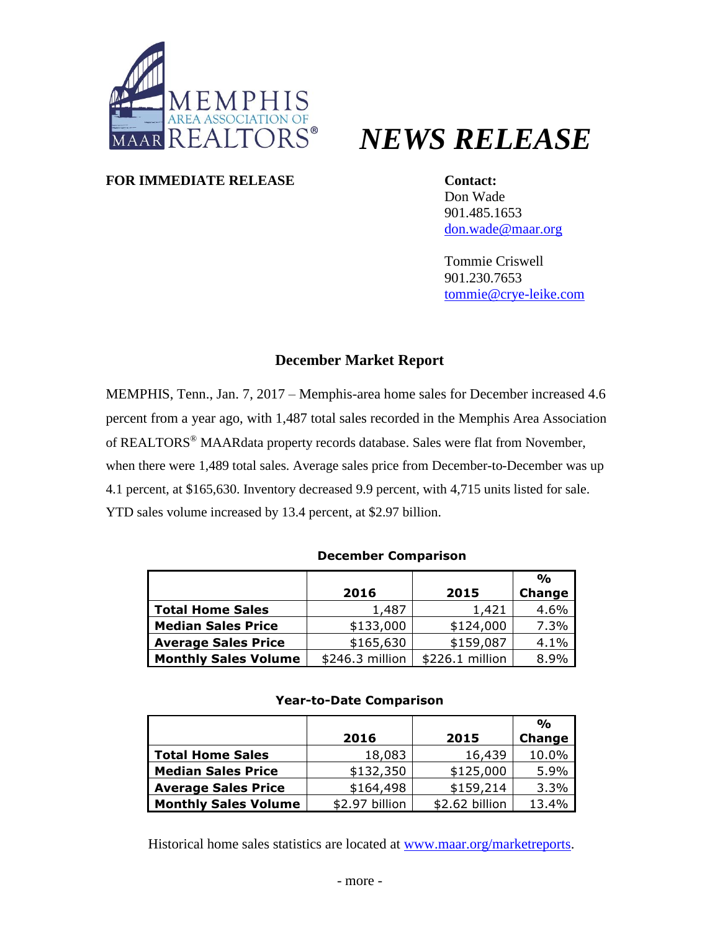

# *NEWS RELEASE*

#### **FOR IMMEDIATE RELEASE Contact:**

Don Wade 901.485.1653 [don.wade@maar.org](mailto:don.wade@maar.org)

Tommie Criswell 901.230.7653 [tommie@crye-leike.com](mailto:tommie@crye-leike.com)

#### **December Market Report**

MEMPHIS, Tenn., Jan. 7, 2017 – Memphis-area home sales for December increased 4.6 percent from a year ago, with 1,487 total sales recorded in the Memphis Area Association of REALTORS® MAARdata property records database. Sales were flat from November, when there were 1,489 total sales. Average sales price from December-to-December was up 4.1 percent, at \$165,630. Inventory decreased 9.9 percent, with 4,715 units listed for sale. YTD sales volume increased by 13.4 percent, at \$2.97 billion.

#### **December Comparison**

|                             |                 |                  | $\frac{O}{O}$ |
|-----------------------------|-----------------|------------------|---------------|
|                             | 2016            | 2015             | Change        |
| <b>Total Home Sales</b>     | 1,487           | 1,421            | 4.6%          |
| <b>Median Sales Price</b>   | \$133,000       | \$124,000        | 7.3%          |
| <b>Average Sales Price</b>  | \$165,630       | \$159,087        | 4.1%          |
| <b>Monthly Sales Volume</b> | \$246.3 million | $$226.1$ million | 8.9%          |

#### **Year-to-Date Comparison**

|                             |                |                | $\frac{O}{O}$ |
|-----------------------------|----------------|----------------|---------------|
|                             | 2016           | 2015           | <b>Change</b> |
| <b>Total Home Sales</b>     | 18,083         | 16,439         | 10.0%         |
| <b>Median Sales Price</b>   | \$132,350      | \$125,000      | 5.9%          |
| <b>Average Sales Price</b>  | \$164,498      | \$159,214      | 3.3%          |
| <b>Monthly Sales Volume</b> | \$2.97 billion | \$2.62 billion | 13.4%         |

Historical home sales statistics are located at [www.maar.org/marketreports.](http://www.maar.org/marketreports)